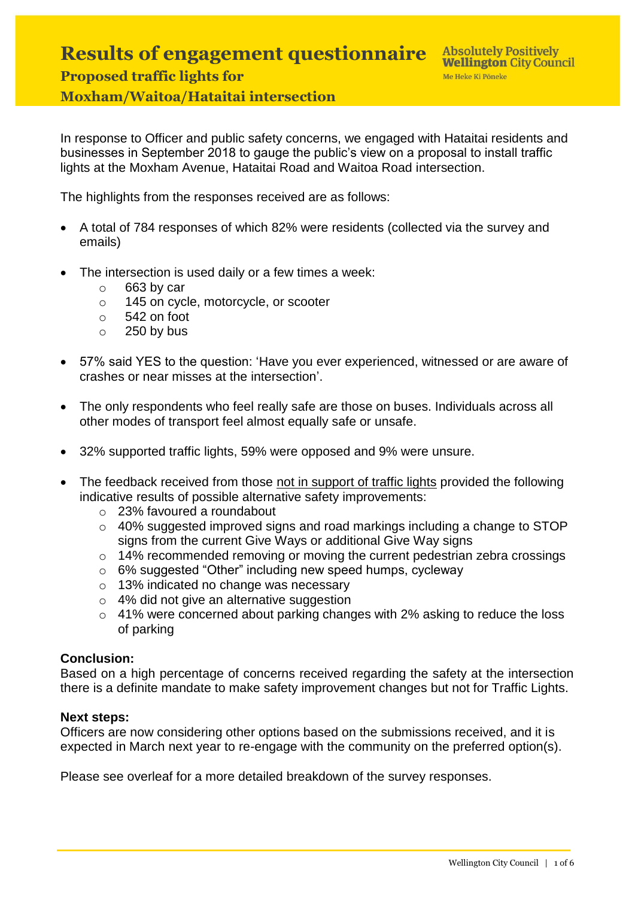## **Results of engagement questionnaire Proposed traffic lights for Moxham/Waitoa/Hataitai intersection**

In response to Officer and public safety concerns, we engaged with Hataitai residents and businesses in September 2018 to gauge the public's view on a proposal to install traffic lights at the Moxham Avenue, Hataitai Road and Waitoa Road intersection.

The highlights from the responses received are as follows:

- A total of 784 responses of which 82% were residents (collected via the survey and emails)
- The intersection is used daily or a few times a week:
	- $\circ$  663 by car
	- o 145 on cycle, motorcycle, or scooter
	- o 542 on foot
	- $\circ$  250 by bus
- 57% said YES to the question: 'Have you ever experienced, witnessed or are aware of crashes or near misses at the intersection'.
- The only respondents who feel really safe are those on buses. Individuals across all other modes of transport feel almost equally safe or unsafe.
- 32% supported traffic lights, 59% were opposed and 9% were unsure.
- The feedback received from those not in support of traffic lights provided the following indicative results of possible alternative safety improvements:
	- o 23% favoured a roundabout
	- o 40% suggested improved signs and road markings including a change to STOP signs from the current Give Ways or additional Give Way signs
	- o 14% recommended removing or moving the current pedestrian zebra crossings
	- o 6% suggested "Other" including new speed humps, cycleway
	- o 13% indicated no change was necessary
	- o 4% did not give an alternative suggestion
	- o 41% were concerned about parking changes with 2% asking to reduce the loss of parking

## **Conclusion:**

Based on a high percentage of concerns received regarding the safety at the intersection there is a definite mandate to make safety improvement changes but not for Traffic Lights.

## **Next steps:**

Officers are now considering other options based on the submissions received, and it is expected in March next year to re-engage with the community on the preferred option(s).

Please see overleaf for a more detailed breakdown of the survey responses.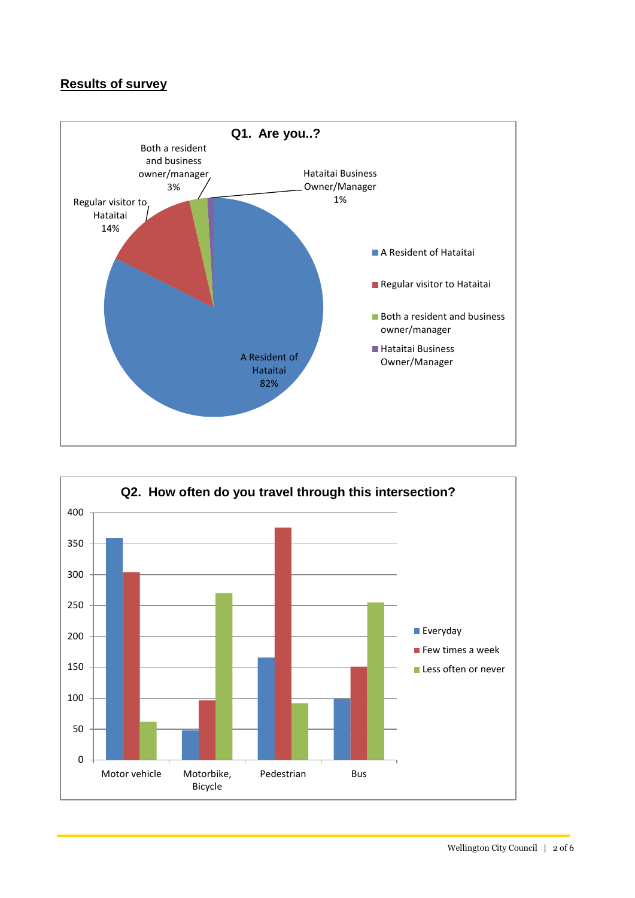## **Results of survey**



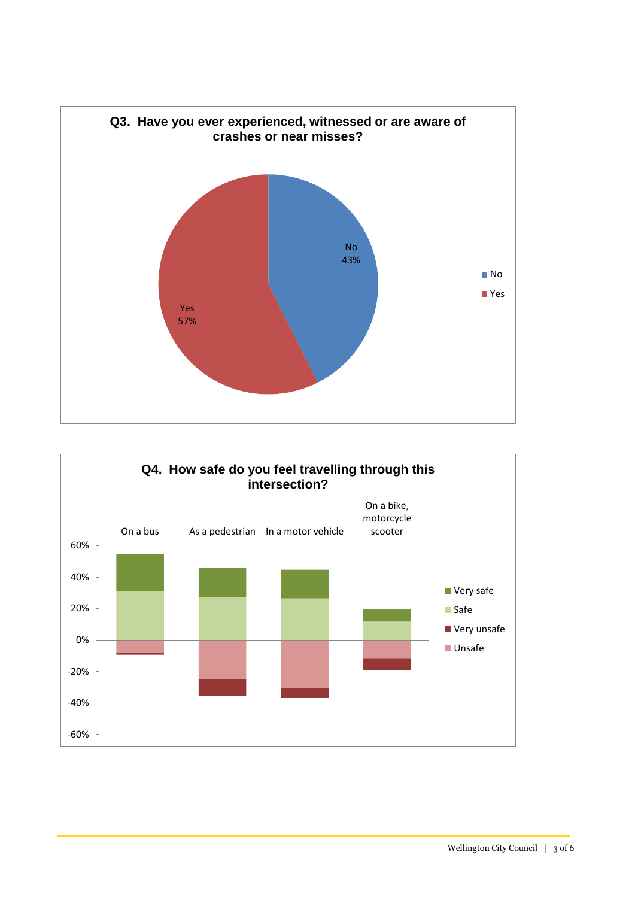

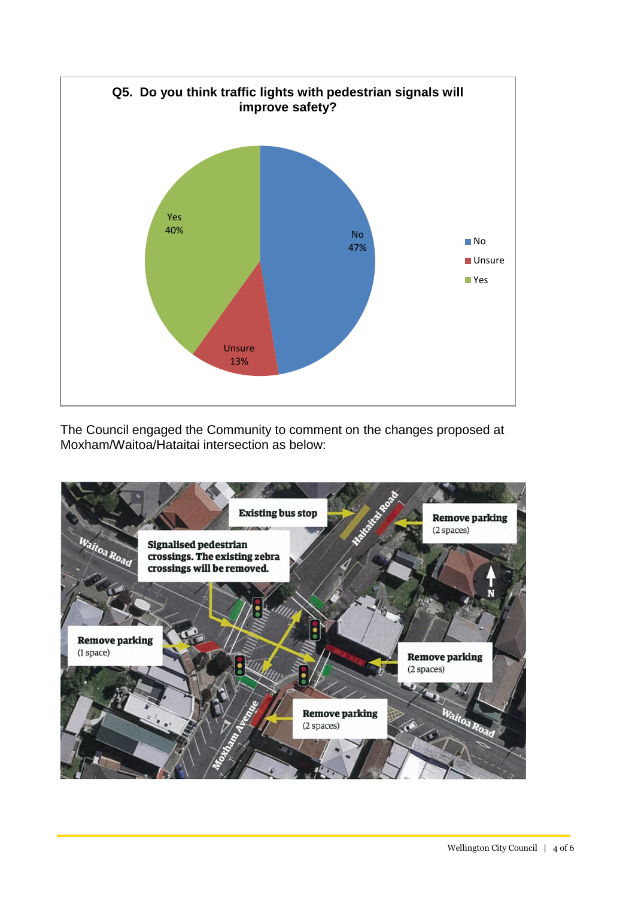

The Council engaged the Community to comment on the changes proposed at Moxham/Waitoa/Hataitai intersection as below:

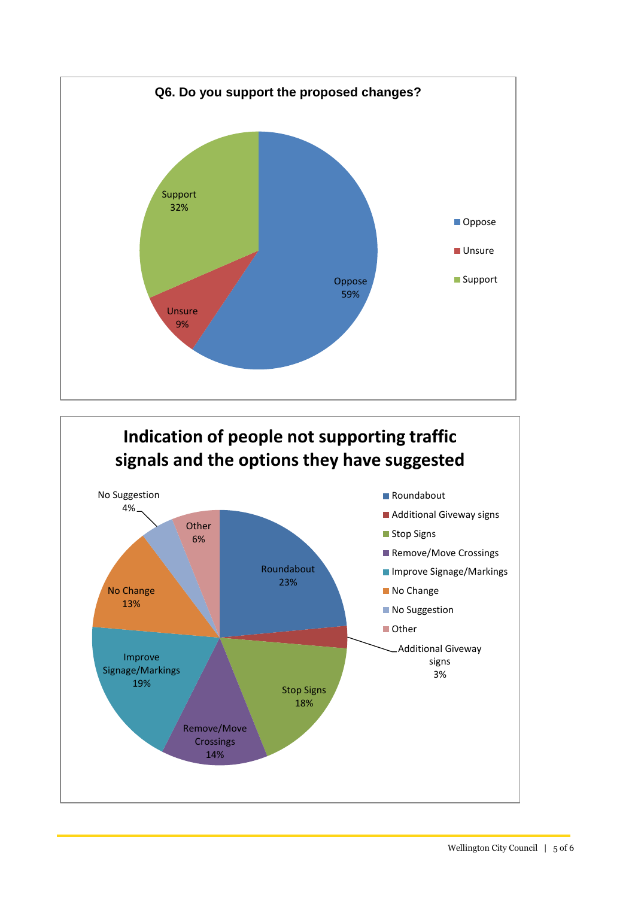